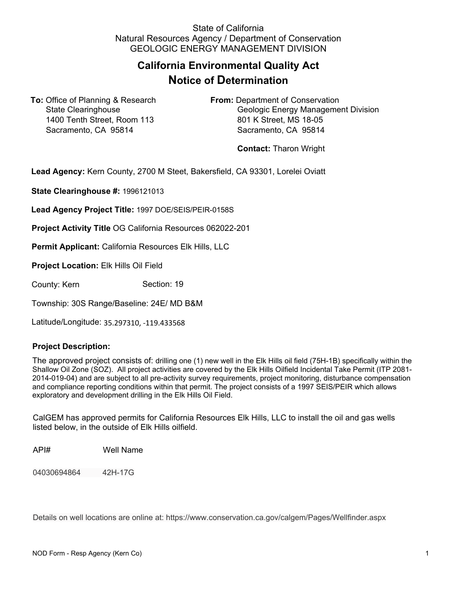## State of California Natural Resources Agency / Department of Conservation GEOLOGIC ENERGY MANAGEMENT DIVISION

## **California Environmental Quality Act Notice of Determination**

**To:** Office of Planning & Research **From:** Department of Conservation 1400 Tenth Street, Room 113 801 K Street, MS 18-05 Sacramento, CA 95814 Sacramento, CA 95814

State Clearinghouse Geologic Energy Management Division

**Contact:** Tharon Wright

**Lead Agency:** Kern County, 2700 M Steet, Bakersfield, CA 93301, Lorelei Oviatt

**State Clearinghouse #:** 1996121013

**Lead Agency Project Title:** 1997 DOE/SEIS/PEIR-0158S

**Project Activity Title** OG California Resources 062022-201

**Permit Applicant:** California Resources Elk Hills, LLC

**Project Location:** Elk Hills Oil Field

County: Kern Section: 19

Township: 30S Range/Baseline: 24E/ MD B&M

Latitude/Longitude: 35.297310, -119.433568

## **Project Description:**

The approved project consists of: drilling one (1) new well in the Elk Hills oil field (75H-1B) specifically within the Shallow Oil Zone (SOZ). All project activities are covered by the Elk Hills Oilfield Incidental Take Permit (ITP 2081- 2014-019-04) and are subject to all pre-activity survey requirements, project monitoring, disturbance compensation and compliance reporting conditions within that permit. The project consists of a 1997 SEIS/PEIR which allows exploratory and development drilling in the Elk Hills Oil Field.

CalGEM has approved permits for California Resources Elk Hills, LLC to install the oil and gas wells listed below, in the outside of Elk Hills oilfield.

API# Well Name

04030694864 42H-17G

Details on well locations are online at: https://www.conservation.ca.gov/calgem/Pages/Wellfinder.aspx